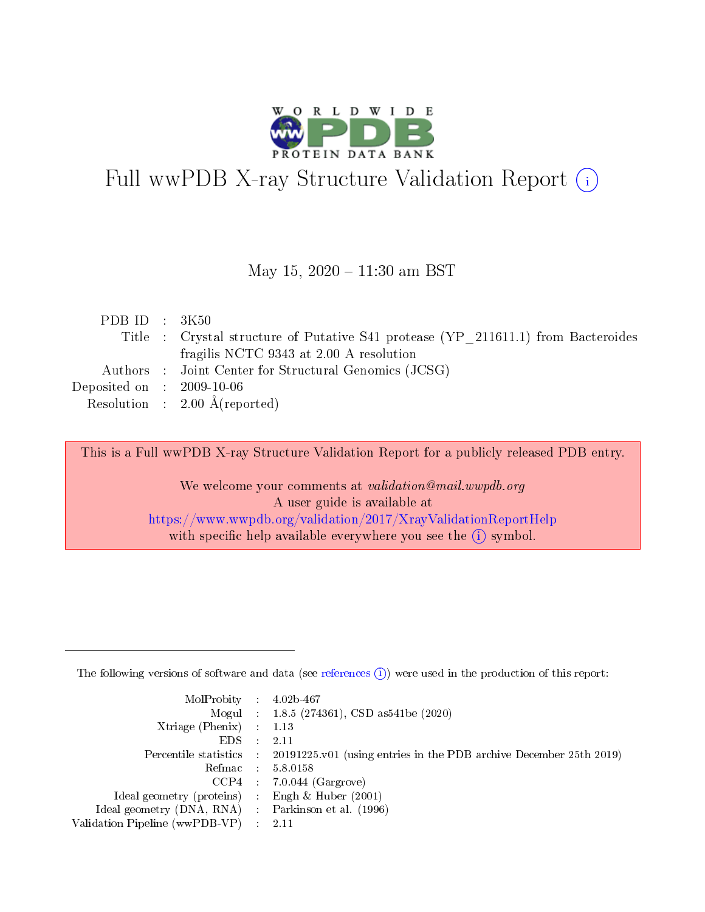

# Full wwPDB X-ray Structure Validation Report (i)

#### May 15,  $2020 - 11:30$  am BST

| PDB ID : $3K50$                      |                                                                                   |
|--------------------------------------|-----------------------------------------------------------------------------------|
|                                      | Title : Crystal structure of Putative S41 protease (YP 211611.1) from Bacteroides |
|                                      | fragilis NCTC 9343 at 2.00 A resolution                                           |
|                                      | Authors : Joint Center for Structural Genomics (JCSG)                             |
| Deposited on $\therefore$ 2009-10-06 |                                                                                   |
|                                      | Resolution : $2.00 \text{ Å}$ (reported)                                          |

This is a Full wwPDB X-ray Structure Validation Report for a publicly released PDB entry.

We welcome your comments at validation@mail.wwpdb.org A user guide is available at <https://www.wwpdb.org/validation/2017/XrayValidationReportHelp> with specific help available everywhere you see the  $(i)$  symbol.

The following versions of software and data (see [references](https://www.wwpdb.org/validation/2017/XrayValidationReportHelp#references)  $(1)$ ) were used in the production of this report:

| $MolProbability$ : 4.02b-467                        |                                                                                            |
|-----------------------------------------------------|--------------------------------------------------------------------------------------------|
|                                                     | Mogul : $1.8.5$ (274361), CSD as 541be (2020)                                              |
| Xtriage (Phenix) $: 1.13$                           |                                                                                            |
| EDS                                                 | -2.11                                                                                      |
|                                                     | Percentile statistics : 20191225.v01 (using entries in the PDB archive December 25th 2019) |
| Refmac 58.0158                                      |                                                                                            |
|                                                     | $CCP4$ 7.0.044 (Gargrove)                                                                  |
| Ideal geometry (proteins) : Engh $\&$ Huber (2001)  |                                                                                            |
| Ideal geometry (DNA, RNA) : Parkinson et al. (1996) |                                                                                            |
| Validation Pipeline (wwPDB-VP) : 2.11               |                                                                                            |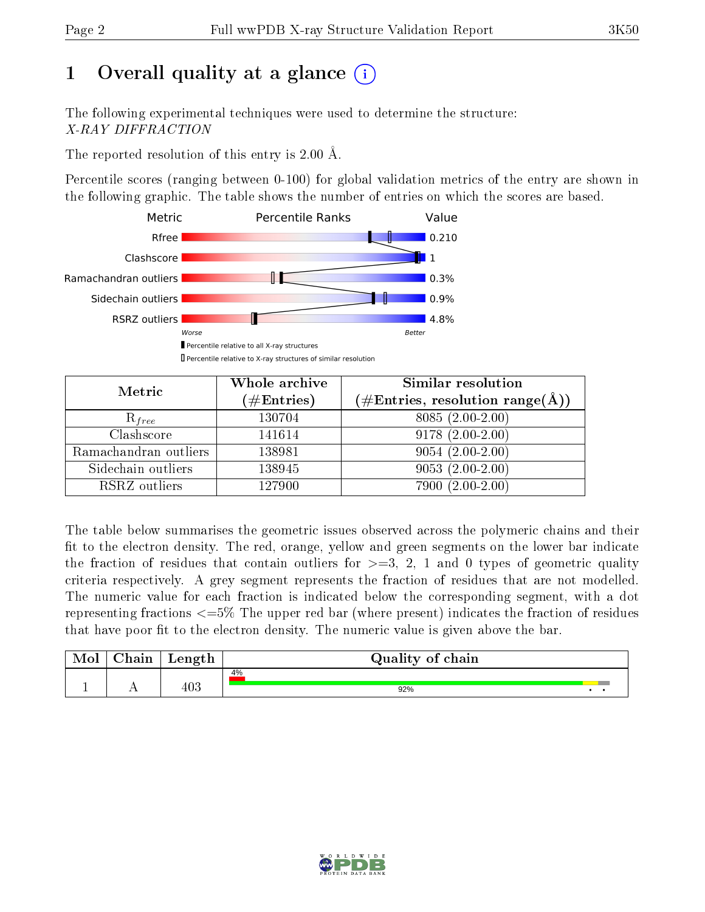# 1 [O](https://www.wwpdb.org/validation/2017/XrayValidationReportHelp#overall_quality)verall quality at a glance  $(i)$

The following experimental techniques were used to determine the structure: X-RAY DIFFRACTION

The reported resolution of this entry is 2.00 Å.

Percentile scores (ranging between 0-100) for global validation metrics of the entry are shown in the following graphic. The table shows the number of entries on which the scores are based.



| Metric                | Whole archive<br>$(\#\text{Entries})$ | Similar resolution<br>$(\#\text{Entries},\,\text{resolution}\,\,\text{range}(\textup{\AA}))$ |
|-----------------------|---------------------------------------|----------------------------------------------------------------------------------------------|
| $R_{free}$            | 130704                                | 8085 (2.00-2.00)                                                                             |
| Clashscore            | 141614                                | $9178(2.00-2.00)$                                                                            |
| Ramachandran outliers | 138981                                | $9054(2.00-2.00)$                                                                            |
| Sidechain outliers    | 138945                                | $9053(2.00-2.00)$                                                                            |
| RSRZ outliers         | 127900                                | 7900 (2.00-2.00)                                                                             |

The table below summarises the geometric issues observed across the polymeric chains and their fit to the electron density. The red, orange, yellow and green segments on the lower bar indicate the fraction of residues that contain outliers for  $>=3, 2, 1$  and 0 types of geometric quality criteria respectively. A grey segment represents the fraction of residues that are not modelled. The numeric value for each fraction is indicated below the corresponding segment, with a dot representing fractions  $\epsilon=5\%$  The upper red bar (where present) indicates the fraction of residues that have poor fit to the electron density. The numeric value is given above the bar.

| Mol | $\sim$ 1<br>hain | Length | Quality of chain |
|-----|------------------|--------|------------------|
| л.  | . .              | 403    | 4%<br>92%        |

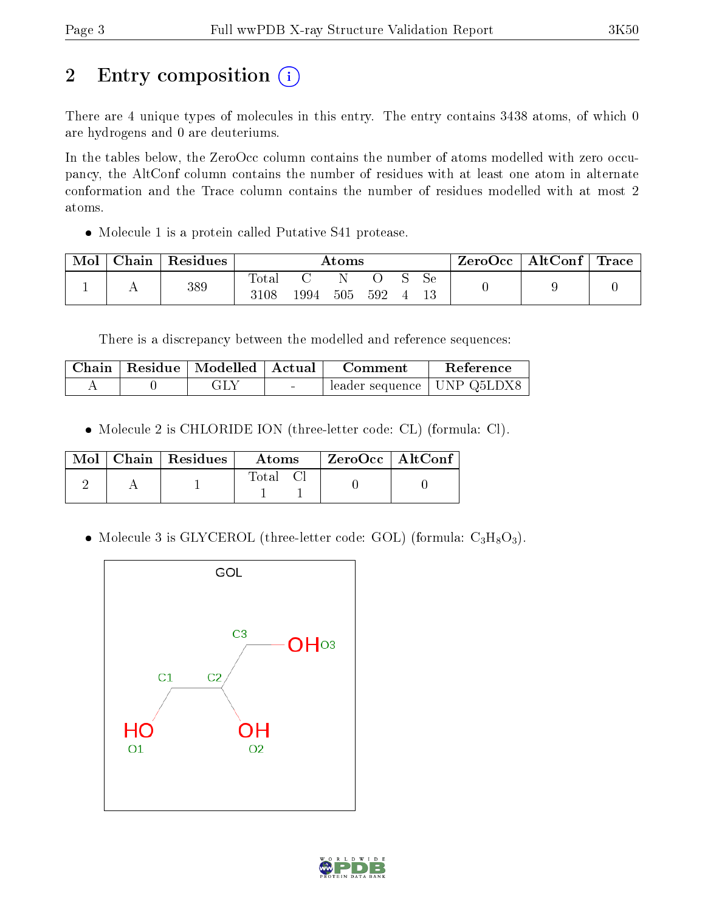# 2 Entry composition (i)

There are 4 unique types of molecules in this entry. The entry contains 3438 atoms, of which 0 are hydrogens and 0 are deuteriums.

In the tables below, the ZeroOcc column contains the number of atoms modelled with zero occupancy, the AltConf column contains the number of residues with at least one atom in alternate conformation and the Trace column contains the number of residues modelled with at most 2 atoms.

Molecule 1 is a protein called Putative S41 protease.

| Mol | Chain   Residues | $\rm{Atoms}$        |      |     |     |  |    | $\text{ZeroOcc}$   AltConf   Trace |  |
|-----|------------------|---------------------|------|-----|-----|--|----|------------------------------------|--|
|     | 389              | $\rm Total$<br>3108 | 1994 | 505 | 592 |  | Sе |                                    |  |

There is a discrepancy between the modelled and reference sequences:

|  | Chain   Residue   Modelled   Actual | Comment                      | Reference |
|--|-------------------------------------|------------------------------|-----------|
|  | GLA                                 | leader sequence   UNP Q5LDX8 |           |

Molecule 2 is CHLORIDE ION (three-letter code: CL) (formula: Cl).

|  | $\text{Mol}$   Chain   Residues | Atoms | $\mid$ ZeroOcc $\mid$ AltConf $\mid$ |
|--|---------------------------------|-------|--------------------------------------|
|  |                                 | Total |                                      |

• Molecule 3 is GLYCEROL (three-letter code: GOL) (formula:  $C_3H_8O_3$ ).



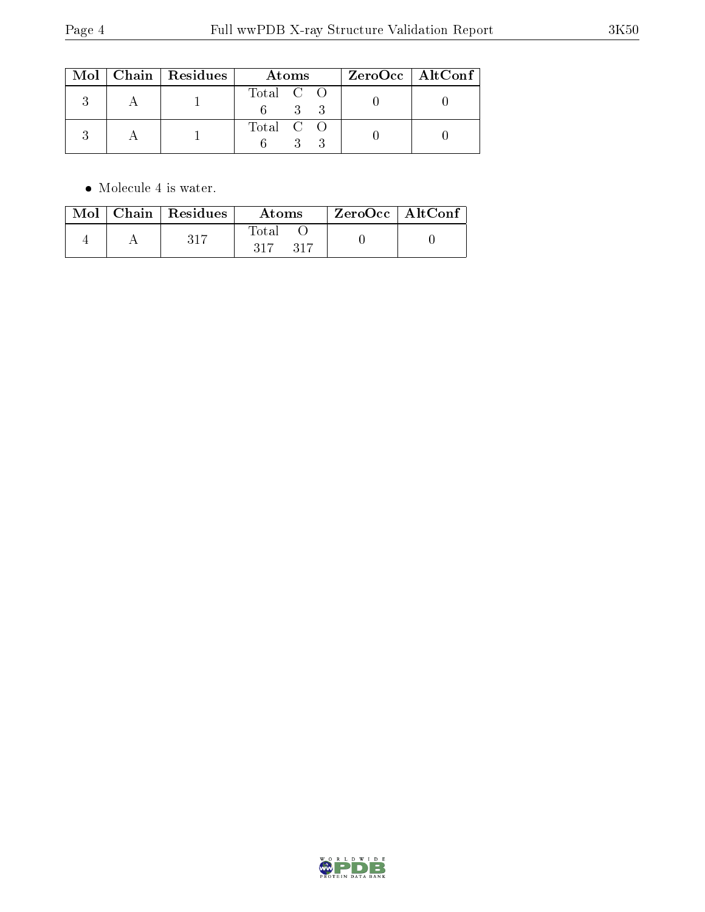|  | $Mol$   Chain   Residues | Atoms     | $ZeroOcc$   AltConf |
|--|--------------------------|-----------|---------------------|
|  |                          | Total C O |                     |
|  |                          | Total C O |                     |

 $\bullet\,$  Molecule 4 is water.

|  | Mol   Chain   Residues | Atoms                                  | ZeroOcc   AltConf |  |
|--|------------------------|----------------------------------------|-------------------|--|
|  | -317                   | $\operatorname{Total}$<br>317<br>- 317 |                   |  |

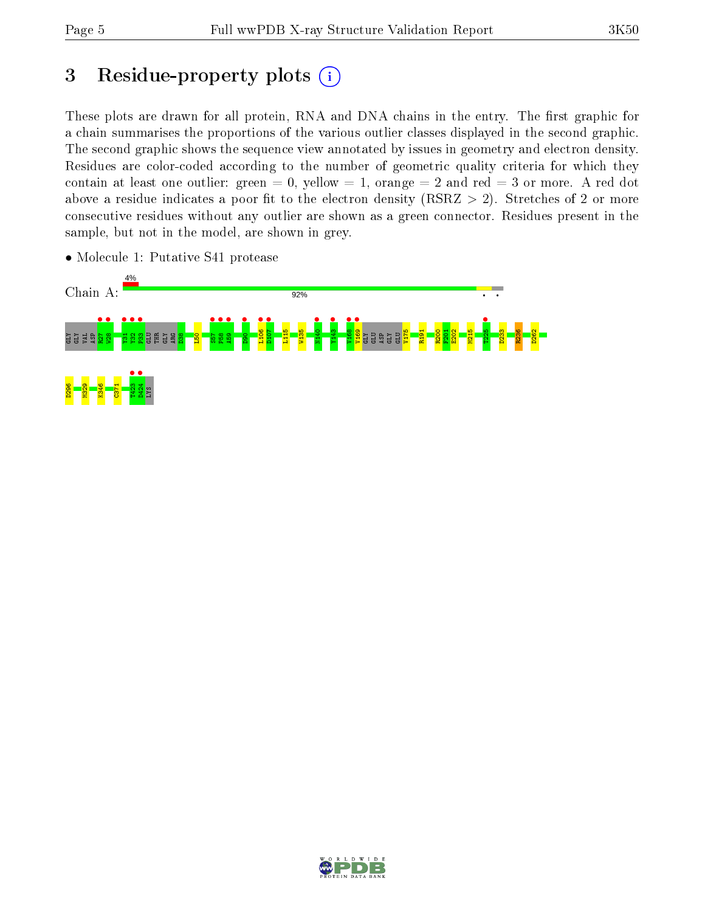# 3 Residue-property plots  $(i)$

These plots are drawn for all protein, RNA and DNA chains in the entry. The first graphic for a chain summarises the proportions of the various outlier classes displayed in the second graphic. The second graphic shows the sequence view annotated by issues in geometry and electron density. Residues are color-coded according to the number of geometric quality criteria for which they contain at least one outlier: green  $= 0$ , yellow  $= 1$ , orange  $= 2$  and red  $= 3$  or more. A red dot above a residue indicates a poor fit to the electron density (RSRZ  $> 2$ ). Stretches of 2 or more consecutive residues without any outlier are shown as a green connector. Residues present in the sample, but not in the model, are shown in grey.



• Molecule 1: Putative S41 protease

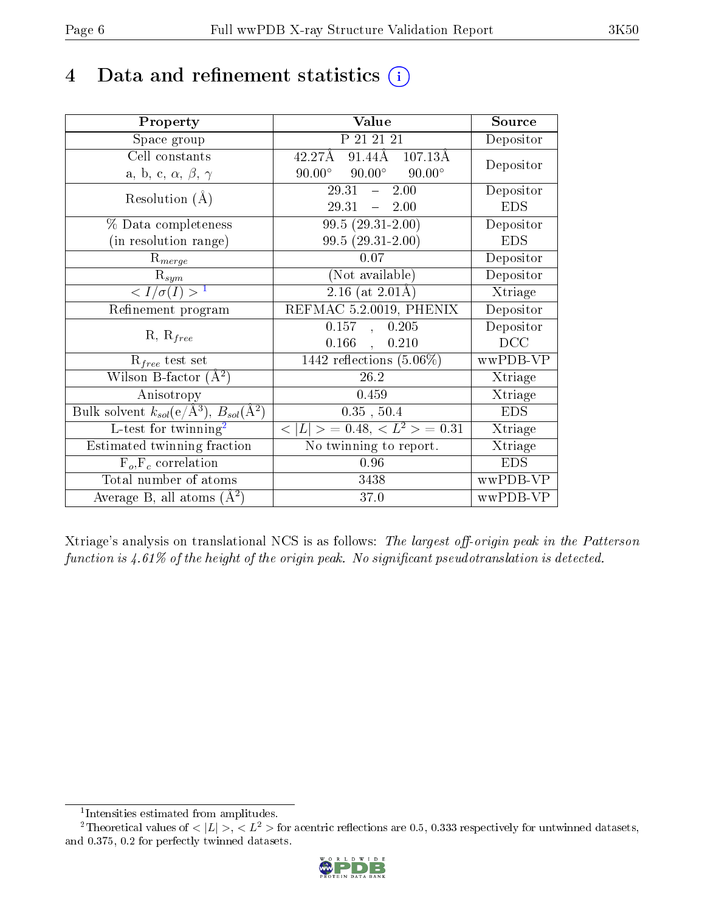## 4 Data and refinement statistics  $(i)$

| Property                                                                | Value                                                     | Source     |
|-------------------------------------------------------------------------|-----------------------------------------------------------|------------|
| Space group                                                             | P 21 21 21                                                | Depositor  |
| Cell constants                                                          | $91.44\text{\AA}$ $107.13\text{\AA}$<br>$42.27\text{\AA}$ | Depositor  |
| a, b, c, $\alpha$ , $\beta$ , $\gamma$                                  | $90.00^\circ$<br>$90.00^{\circ}$<br>$90.00^\circ$         |            |
| Resolution $(A)$                                                        | 2.00<br>29.31<br>$\frac{1}{2}$                            | Depositor  |
|                                                                         | 29.31<br>$-2.00$                                          | <b>EDS</b> |
| $\%$ Data completeness                                                  | $99.5(29.31-2.00)$                                        | Depositor  |
| (in resolution range)                                                   | $99.5(29.31-2.00)$                                        | <b>EDS</b> |
| $\mathrm{R}_{merge}$                                                    | $0.07\,$                                                  | Depositor  |
| $R_{sym}$                                                               | (Not available)                                           | Depositor  |
| $\langle I/\sigma(I) \rangle^{-1}$                                      | $2.16$ (at $2.01\text{\AA}$ )                             | Xtriage    |
| Refinement program                                                      | REFMAC 5.2.0019, PHENIX                                   | Depositor  |
| $R, R_{free}$                                                           | 0.157<br>0.205<br>$\mathbf{A}$                            | Depositor  |
|                                                                         | $0.166$ ,<br>0.210                                        | DCC        |
| $R_{free}$ test set                                                     | 1442 reflections $(5.06\%)$                               | wwPDB-VP   |
| Wilson B-factor $(A^2)$                                                 | 26.2                                                      | Xtriage    |
| Anisotropy                                                              | 0.459                                                     | Xtriage    |
| Bulk solvent $k_{sol}(\mathrm{e}/\mathrm{A}^3),\,B_{sol}(\mathrm{A}^2)$ | 0.35, 50.4                                                | <b>EDS</b> |
| L-test for $\overline{\text{twinning}}^2$                               | $< L >$ = 0.48, $< L2 >$ = 0.31                           | Xtriage    |
| Estimated twinning fraction                                             | No twinning to report.                                    | Xtriage    |
| $\overline{F_o, F_c}$ correlation                                       | 0.96                                                      | <b>EDS</b> |
| Total number of atoms                                                   | 3438                                                      | wwPDB-VP   |
| Average B, all atoms $(A^2)$                                            | 37.0                                                      | wwPDB-VP   |

Xtriage's analysis on translational NCS is as follows: The largest off-origin peak in the Patterson function is  $4.61\%$  of the height of the origin peak. No significant pseudotranslation is detected.

<sup>&</sup>lt;sup>2</sup>Theoretical values of  $\langle |L| \rangle$ ,  $\langle L^2 \rangle$  for acentric reflections are 0.5, 0.333 respectively for untwinned datasets, and 0.375, 0.2 for perfectly twinned datasets.



<span id="page-5-1"></span><span id="page-5-0"></span><sup>1</sup> Intensities estimated from amplitudes.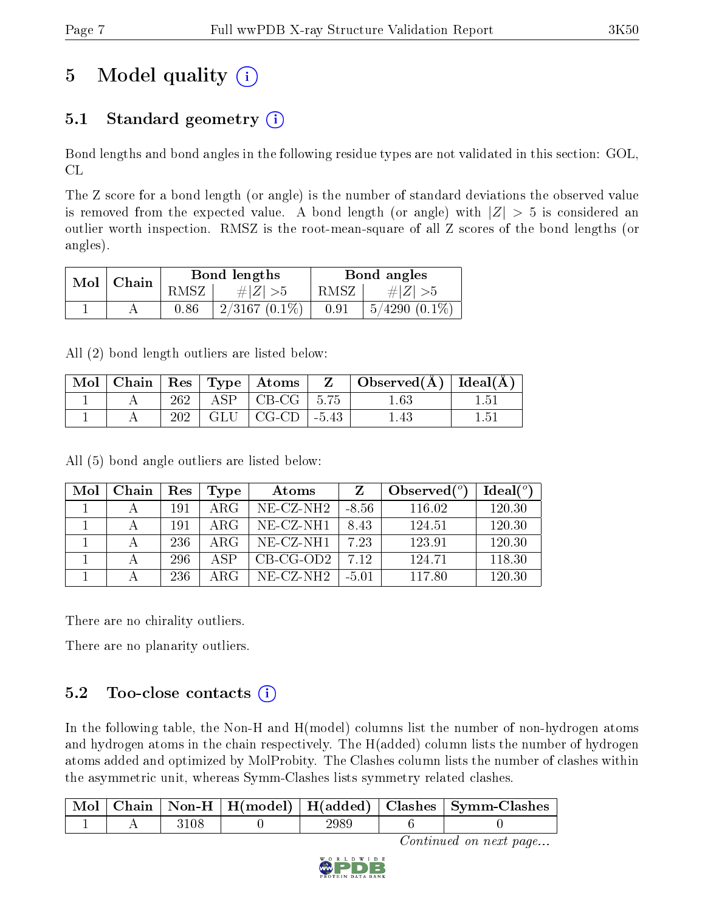# 5 Model quality  $(i)$

## 5.1 Standard geometry  $(i)$

Bond lengths and bond angles in the following residue types are not validated in this section: GOL, CL

The Z score for a bond length (or angle) is the number of standard deviations the observed value is removed from the expected value. A bond length (or angle) with  $|Z| > 5$  is considered an outlier worth inspection. RMSZ is the root-mean-square of all Z scores of the bond lengths (or angles).

| Mol | Chain |      | Bond lengths     | Bond angles |                    |  |
|-----|-------|------|------------------|-------------|--------------------|--|
|     |       | RMSZ | # $ Z  > 5$      | RMSZ        | $\#Z \geq 5$       |  |
|     |       | 0.86 | $2/3167$ (0.1\%) | 0.91        | $5/4290$ $(0.1\%)$ |  |

All (2) bond length outliers are listed below:

| Mol |     | $\vert$ Chain $\vert$ Res $\vert$ Type $\vert$ Atoms $\vert$ | $\mathbf{Z}$ | $\vert$ Observed( $\rm \AA$ ) $\vert$ Ideal( $\rm \AA$ ) |      |
|-----|-----|--------------------------------------------------------------|--------------|----------------------------------------------------------|------|
|     | 262 | $ASP \mid CB\text{-}CG \mid 5.75$                            |              | 1.63                                                     | 151  |
|     | 202 | $GLU$   $CG-CD$                                              | $-5.43$      | l 43                                                     | l.51 |

All (5) bond angle outliers are listed below:

| Mol | Chain | Res | Type | Atoms                 | Z       | Observed $(°)$ | Ideal(°) |
|-----|-------|-----|------|-----------------------|---------|----------------|----------|
|     |       | 191 | ARG  | $NE- CZ-NH2$          | $-8.56$ | 116.02         | 120.30   |
|     |       | 191 | ARG  | NE-CZ-NH1             | 8.43    | 124.51         | 120.30   |
|     |       | 236 | ARG  | $NE-CZ-NH1$           | 7.23    | 123.91         | 120.30   |
|     |       | 296 | A SP | $CB-CG-OD2$           | 7 1 2   | 124.71         | 118.30   |
|     |       | 236 | ARG  | NE-CZ-NH <sub>2</sub> | $-5.01$ | 117.80         | 120.30   |

There are no chirality outliers.

There are no planarity outliers.

### $5.2$  Too-close contacts  $(i)$

In the following table, the Non-H and H(model) columns list the number of non-hydrogen atoms and hydrogen atoms in the chain respectively. The H(added) column lists the number of hydrogen atoms added and optimized by MolProbity. The Clashes column lists the number of clashes within the asymmetric unit, whereas Symm-Clashes lists symmetry related clashes.

|  |  |  | Chain   Non-H   H(model)   H(added)   Clashes   Symm-Clashes |
|--|--|--|--------------------------------------------------------------|
|  |  |  |                                                              |

Continued on next page...

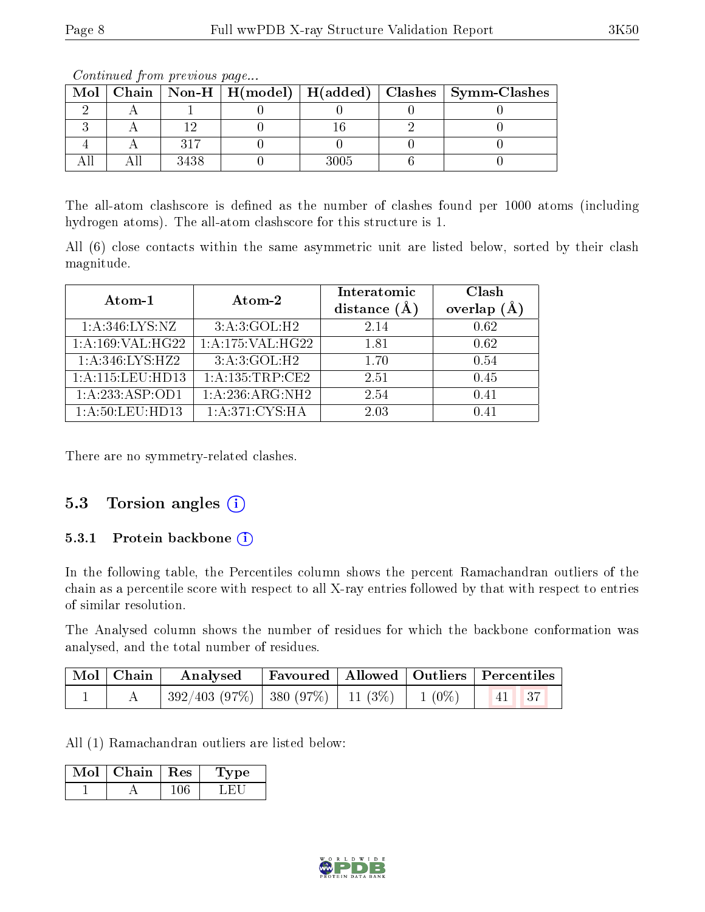| <u>o o reestado de francese de la compositiva de la contrada de la contrada de la contrada de la contrada de la </u> |      |  |      |  |                                                                    |  |  |  |  |
|----------------------------------------------------------------------------------------------------------------------|------|--|------|--|--------------------------------------------------------------------|--|--|--|--|
|                                                                                                                      |      |  |      |  | Mol   Chain   Non-H   H(model)   H(added)   Clashes   Symm-Clashes |  |  |  |  |
|                                                                                                                      |      |  |      |  |                                                                    |  |  |  |  |
|                                                                                                                      |      |  |      |  |                                                                    |  |  |  |  |
|                                                                                                                      | 217  |  |      |  |                                                                    |  |  |  |  |
|                                                                                                                      | 3438 |  | 3005 |  |                                                                    |  |  |  |  |

Continued from previous page...

The all-atom clashscore is defined as the number of clashes found per 1000 atoms (including hydrogen atoms). The all-atom clashscore for this structure is 1.

All (6) close contacts within the same asymmetric unit are listed below, sorted by their clash magnitude.

| Atom-1              | Atom-2            | Interatomic<br>distance $(A)$ | Clash<br>overlap<br>(A) |
|---------------------|-------------------|-------------------------------|-------------------------|
| 1: A:346:LYS:NZ     | 3:A:3:GOL:H2      | 2.14                          | 0.62                    |
| 1: A: 169: VAL:HG22 | 1:A:175:VAL:H G22 | 1.81                          | 0.62                    |
| 1: A:346: LYS: HZ2  | 3:A:3:GOL:H2      | 1.70                          | 0.54                    |
| 1:A:115:LEU:HD13    | 1:A:135:TRP:CE2   | 2.51                          | 0.45                    |
| $1:A:233:ASP:$ OD1  | 1:A:236:ARG:NH2   | 2.54                          | 0.41                    |
| 1:A:50:LEU:HD13     | 1: A:371: CYS: HA | 2.03                          | 0.41                    |

There are no symmetry-related clashes.

### 5.3 Torsion angles  $(i)$

#### 5.3.1 Protein backbone  $(i)$

In the following table, the Percentiles column shows the percent Ramachandran outliers of the chain as a percentile score with respect to all X-ray entries followed by that with respect to entries of similar resolution.

The Analysed column shows the number of residues for which the backbone conformation was analysed, and the total number of residues.

| Mol   Chain | $\boldsymbol{\mathrm{Analysed}}$               |  | Favoured   Allowed   Outliers   Percentiles |
|-------------|------------------------------------------------|--|---------------------------------------------|
|             | $392/403$ (97%)   380 (97%)   11 (3%)   1 (0%) |  | 41 37                                       |

All (1) Ramachandran outliers are listed below:

| $Mol$   Chain   Res | 'Lype : |  |
|---------------------|---------|--|
|                     |         |  |

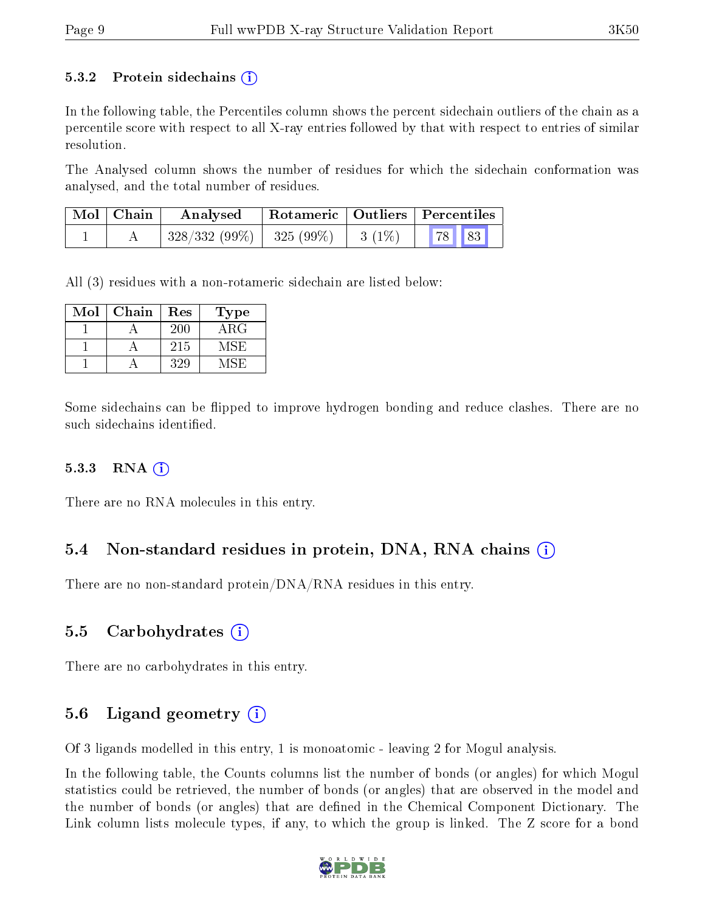#### 5.3.2 Protein sidechains  $(i)$

In the following table, the Percentiles column shows the percent sidechain outliers of the chain as a percentile score with respect to all X-ray entries followed by that with respect to entries of similar resolution.

The Analysed column shows the number of residues for which the sidechain conformation was analysed, and the total number of residues.

| $\mid$ Mol $\mid$ Chain | Analysed                                 | Rotameric   Outliers   Percentiles |              |  |
|-------------------------|------------------------------------------|------------------------------------|--------------|--|
|                         | $328/332(99\%)$   $325(99\%)$   $3(1\%)$ |                                    | <b>78</b> 83 |  |

All (3) residues with a non-rotameric sidechain are listed below:

| $\operatorname{Mol}$ | Chain | Res | Type       |
|----------------------|-------|-----|------------|
|                      |       | 200 | $\rm{ARG}$ |
|                      |       | 215 | MSE        |
|                      |       | 329 | A /I S H   |

Some sidechains can be flipped to improve hydrogen bonding and reduce clashes. There are no such sidechains identified.

#### 5.3.3 RNA [O](https://www.wwpdb.org/validation/2017/XrayValidationReportHelp#rna)i

There are no RNA molecules in this entry.

### 5.4 Non-standard residues in protein, DNA, RNA chains (i)

There are no non-standard protein/DNA/RNA residues in this entry.

### 5.5 Carbohydrates (i)

There are no carbohydrates in this entry.

### 5.6 Ligand geometry (i)

Of 3 ligands modelled in this entry, 1 is monoatomic - leaving 2 for Mogul analysis.

In the following table, the Counts columns list the number of bonds (or angles) for which Mogul statistics could be retrieved, the number of bonds (or angles) that are observed in the model and the number of bonds (or angles) that are dened in the Chemical Component Dictionary. The Link column lists molecule types, if any, to which the group is linked. The Z score for a bond

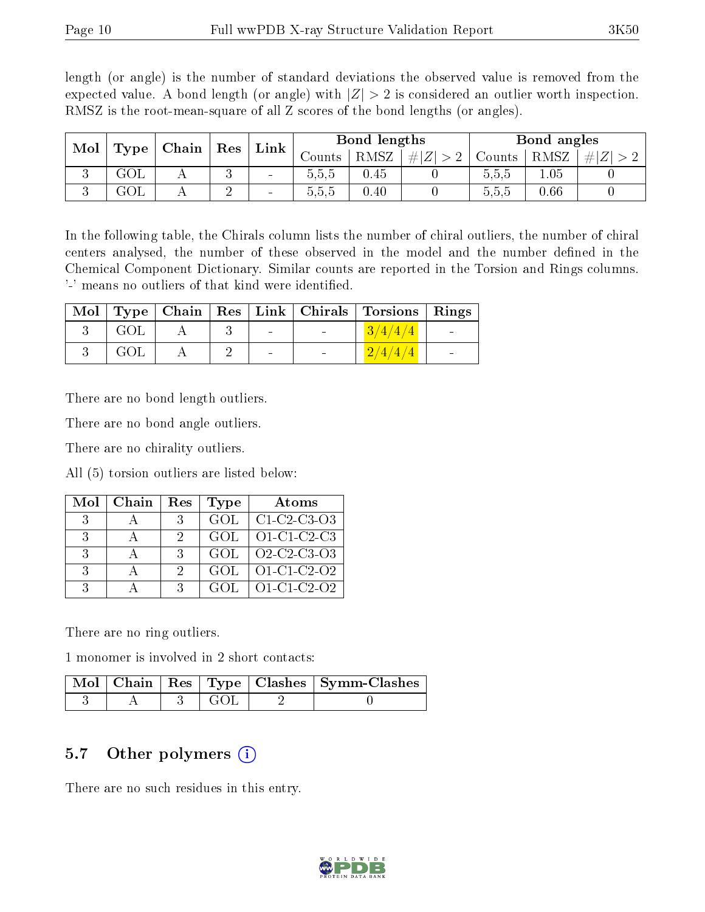length (or angle) is the number of standard deviations the observed value is removed from the expected value. A bond length (or angle) with  $|Z| > 2$  is considered an outlier worth inspection. RMSZ is the root-mean-square of all Z scores of the bond lengths (or angles).

| Mol<br>Type | Chain |  |    |                          |          |             |   |         |      | Res                  |  | Bond lengths |  |  | Bond angles |  |  |
|-------------|-------|--|----|--------------------------|----------|-------------|---|---------|------|----------------------|--|--------------|--|--|-------------|--|--|
|             |       |  |    | Link                     | Jounts - | <b>RMSZ</b> | # | Jounts  | RMSZ | # <br>$\overline{L}$ |  |              |  |  |             |  |  |
| ◡           | ュリレ   |  | ., | $\sim$                   | 0.5.5    | 0.45        |   | 0.5.5   | 1.05 |                      |  |              |  |  |             |  |  |
| ◡           | JUL   |  | ∸  | $\overline{\phantom{a}}$ | 0.5.5    | 0.40        |   | b, b, b | 0.66 |                      |  |              |  |  |             |  |  |

In the following table, the Chirals column lists the number of chiral outliers, the number of chiral centers analysed, the number of these observed in the model and the number defined in the Chemical Component Dictionary. Similar counts are reported in the Torsion and Rings columns. '-' means no outliers of that kind were identified.

|     |  |        | Mol   Type   Chain   Res   Link   Chirals   Torsions   Rings |                          |
|-----|--|--------|--------------------------------------------------------------|--------------------------|
| GOL |  | $\sim$ | 3/4/4/4                                                      | <b>Contract Contract</b> |
| GOL |  |        |                                                              | $\overline{\phantom{0}}$ |

There are no bond length outliers.

There are no bond angle outliers.

There are no chirality outliers.

All (5) torsion outliers are listed below:

| Mol          | Chain | Res | <b>Type</b> | Atoms         |
|--------------|-------|-----|-------------|---------------|
| 3            |       | 3   | GOL         | $C1-C2-C3-O3$ |
| 3            |       |     | GOL         | $O1-C1-C2-C3$ |
| $\mathbf{R}$ |       | 3   | GOL         | Q2-C2-C3-Q3   |
| -3           |       |     | GOL         | O1-C1-C2-O2   |
| ર            |       | 2   | GOL         | $O1-C1-C2-O2$ |

There are no ring outliers.

1 monomer is involved in 2 short contacts:

|  |             | Mol   Chain   Res   Type   Clashes   Symm-Clashes |
|--|-------------|---------------------------------------------------|
|  | - ( 1 ( ) [ |                                                   |

#### 5.7 [O](https://www.wwpdb.org/validation/2017/XrayValidationReportHelp#nonstandard_residues_and_ligands)ther polymers (i)

There are no such residues in this entry.

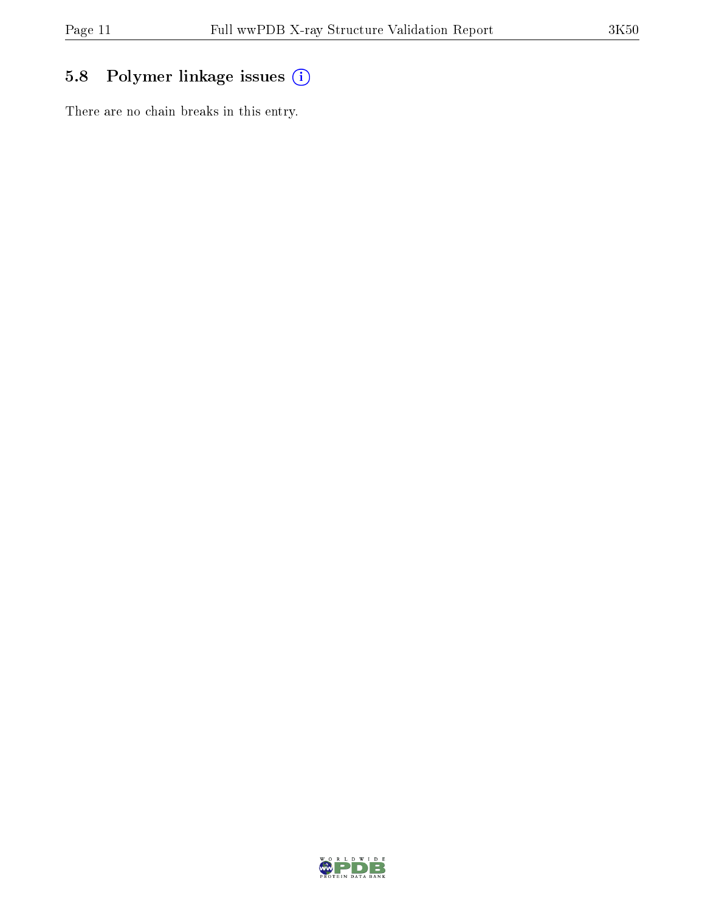## 5.8 Polymer linkage issues (i)

There are no chain breaks in this entry.

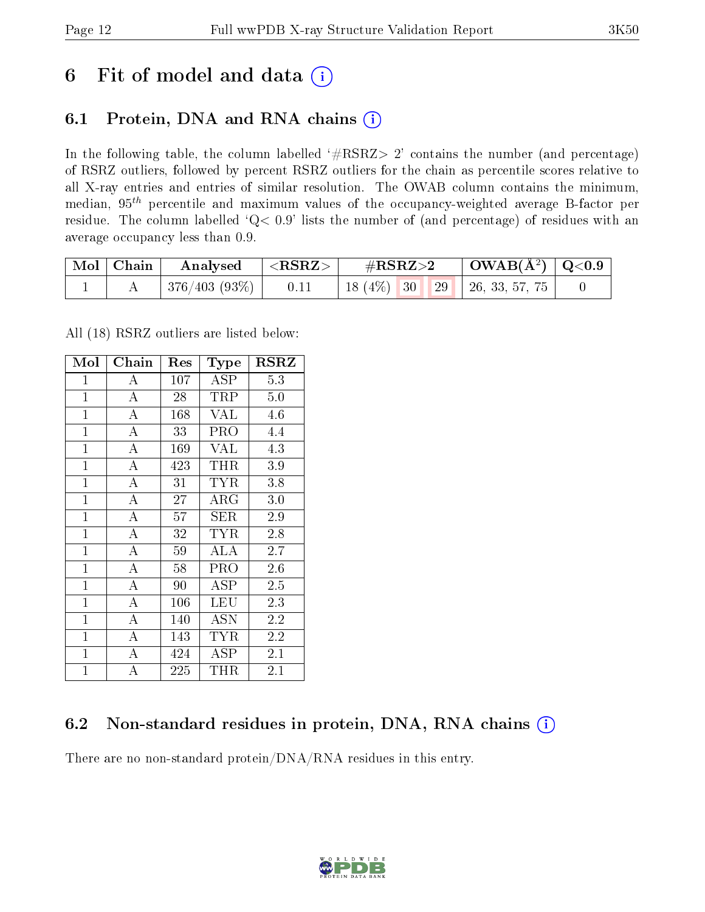## 6 Fit of model and data  $(i)$

### 6.1 Protein, DNA and RNA chains  $(i)$

In the following table, the column labelled  $#RSRZ> 2'$  contains the number (and percentage) of RSRZ outliers, followed by percent RSRZ outliers for the chain as percentile scores relative to all X-ray entries and entries of similar resolution. The OWAB column contains the minimum, median,  $95<sup>th</sup>$  percentile and maximum values of the occupancy-weighted average B-factor per residue. The column labelled ' $Q< 0.9$ ' lists the number of (and percentage) of residues with an average occupancy less than 0.9.

| $\mid$ Mol $\mid$ Chain | Analysed $ \langle \text{RSRZ}\rangle $ | $\#\text{RSRZ}\text{>2}$            | $\mid$ OWAB(Å <sup>2</sup> ) $\mid$ Q<0.9 |  |
|-------------------------|-----------------------------------------|-------------------------------------|-------------------------------------------|--|
|                         | $ 376/403(93\%) $ 0.11                  | 18 (4\%)   30   29   26, 33, 57, 75 |                                           |  |

All (18) RSRZ outliers are listed below:

| Mol            | Chain                   | Res | Type       | <b>RSRZ</b>      |
|----------------|-------------------------|-----|------------|------------------|
| $\mathbf{1}$   | А                       | 107 | ASP        | 5.3              |
| $\overline{1}$ | $\overline{A}$          | 28  | TRP        | 5.0              |
| $\mathbf{1}$   | $\overline{A}$          | 168 | <b>VAL</b> | 4.6              |
| $\overline{1}$ | $\bf{A}$                | 33  | PRO        | 4.4              |
| $\overline{1}$ | $\overline{\rm A}$      | 169 | <b>VAL</b> | 4.3              |
| $\overline{1}$ | $\overline{A}$          | 423 | THR        | 3.9              |
| $\mathbf{1}$   | $\overline{\rm A}$      | 31  | <b>TYR</b> | 3.8              |
| $\mathbf{1}$   | $\overline{\mathbf{A}}$ | 27  | $\rm{ARG}$ | 3.0              |
| $\mathbf{1}$   | $\overline{\rm A}$      | 57  | SER        | 2.9              |
| $\mathbf{1}$   | $\overline{\rm A}$      | 32  | <b>TYR</b> | 2.8              |
| $\mathbf{1}$   | $\overline{A}$          | 59  | <b>ALA</b> | 2.7              |
| $\mathbf{1}$   | A                       | 58  | PRO        | 2.6              |
| $\mathbf{1}$   | A                       | 90  | ASP        | 2.5              |
| $\overline{1}$ | A                       | 106 | LEU        | 2.3              |
| $\overline{1}$ | A                       | 140 | ASN        | 2.2              |
| $\mathbf{1}$   | $\bf{A}$                | 143 | <b>TYR</b> | 2.2              |
| $\mathbf{1}$   | $\overline{\rm A}$      | 424 | ASP        | $2.\overline{1}$ |
| $\overline{1}$ | $\overline{A}$          | 225 | THR        | 2.1              |

### 6.2 Non-standard residues in protein, DNA, RNA chains (i)

There are no non-standard protein/DNA/RNA residues in this entry.